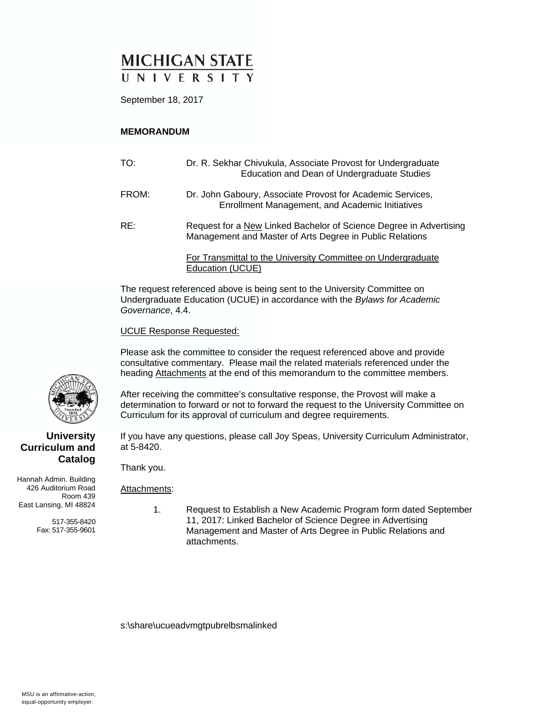# **MICHIGAN STATE** UNIVERSITY

September 18, 2017

### **MEMORANDUM**

| TO:   | Dr. R. Sekhar Chivukula, Associate Provost for Undergraduate<br>Education and Dean of Undergraduate Studies                    |
|-------|--------------------------------------------------------------------------------------------------------------------------------|
| FROM: | Dr. John Gaboury, Associate Provost for Academic Services,<br>Enrollment Management, and Academic Initiatives                  |
| RE:   | Request for a New Linked Bachelor of Science Degree in Advertising<br>Management and Master of Arts Degree in Public Relations |
|       | For Transmittal to the University Committee on Undergraduate<br>Education (UCUE)                                               |

The request referenced above is being sent to the University Committee on Undergraduate Education (UCUE) in accordance with the *Bylaws for Academic Governance*, 4.4.

UCUE Response Requested:

Please ask the committee to consider the request referenced above and provide consultative commentary. Please mail the related materials referenced under the heading Attachments at the end of this memorandum to the committee members.

After receiving the committee's consultative response, the Provost will make a determination to forward or not to forward the request to the University Committee on Curriculum for its approval of curriculum and degree requirements.

If you have any questions, please call Joy Speas, University Curriculum Administrator, at 5-8420.

Thank you.

Attachments:

Hannah Admin. Building 426 Auditorium Road Room 439 East Lansing, MI 48824

**Curriculum and** 

517-355-8420 Fax: 517-355-9601

 1. Request to Establish a New Academic Program form dated September 11, 2017: Linked Bachelor of Science Degree in Advertising Management and Master of Arts Degree in Public Relations and attachments.

s:\share\ucueadvmgtpubrelbsmalinked



**Catalog**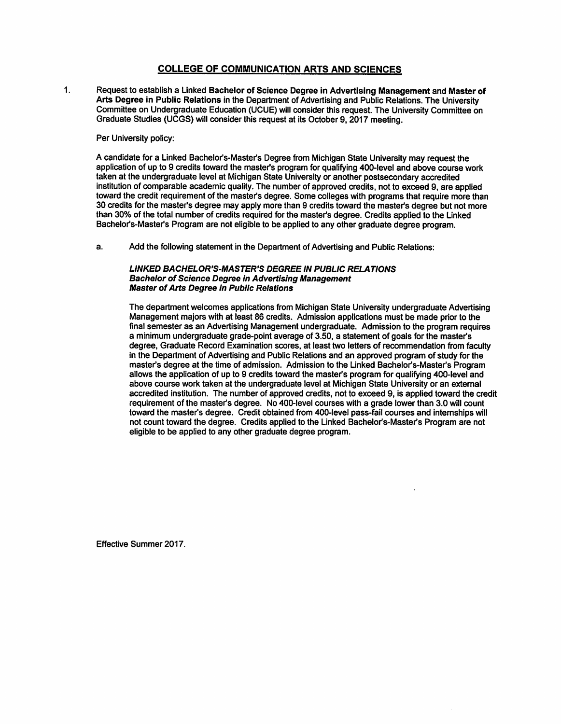### **COLLEGE OF COMMUNICATION ARTS AND SCIENCES**

Request to establish a Linked Bachelor of Science Degree in Advertising Management and Master of  $\mathbf{1}$ . Arts Degree in Public Relations in the Department of Advertising and Public Relations. The University Committee on Undergraduate Education (UCUE) will consider this request. The University Committee on Graduate Studies (UCGS) will consider this request at its October 9, 2017 meeting.

Per University policy:

A candidate for a Linked Bachelor's-Master's Degree from Michigan State University may request the application of up to 9 credits toward the master's program for qualifying 400-level and above course work taken at the undergraduate level at Michigan State University or another postsecondary accredited institution of comparable academic quality. The number of approved credits, not to exceed 9, are applied toward the credit requirement of the master's degree. Some colleges with programs that require more than 30 credits for the master's degree may apply more than 9 credits toward the master's degree but not more than 30% of the total number of credits required for the master's degree. Credits applied to the Linked Bachelor's-Master's Program are not eligible to be applied to any other graduate degree program.

 $a$ . Add the following statement in the Department of Advertising and Public Relations:

#### LINKED BACHELOR'S-MASTER'S DEGREE IN PUBLIC RELATIONS **Bachelor of Science Degree in Advertising Management Master of Arts Degree in Public Relations**

The department welcomes applications from Michigan State University undergraduate Advertising Management majors with at least 86 credits. Admission applications must be made prior to the final semester as an Advertising Management undergraduate. Admission to the program requires a minimum undergraduate grade-point average of 3.50, a statement of goals for the master's degree, Graduate Record Examination scores, at least two letters of recommendation from faculty in the Department of Advertising and Public Relations and an approved program of study for the master's degree at the time of admission. Admission to the Linked Bachelor's-Master's Program allows the application of up to 9 credits toward the master's program for qualifying 400-level and above course work taken at the undergraduate level at Michigan State University or an external accredited institution. The number of approved credits, not to exceed 9, is applied toward the credit requirement of the master's degree. No 400-level courses with a grade lower than 3.0 will count toward the master's degree. Credit obtained from 400-level pass-fail courses and internships will not count toward the degree. Credits applied to the Linked Bachelor's-Master's Program are not eligible to be applied to any other graduate degree program.

Effective Summer 2017.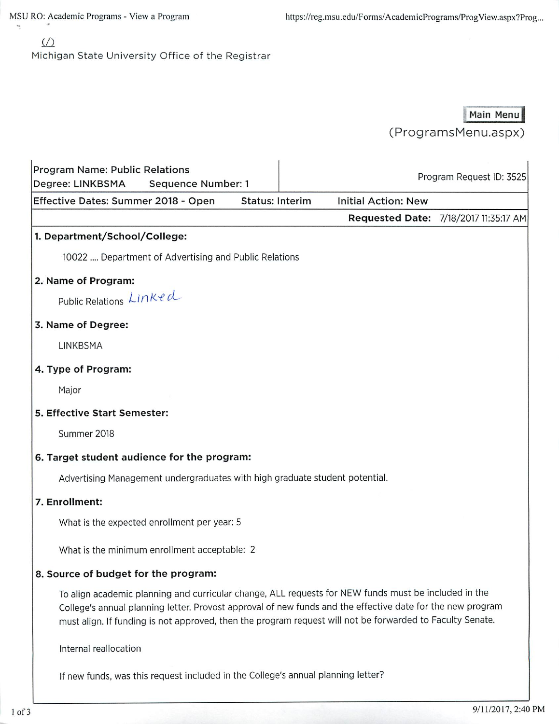MSU RO: Academic Programs - View a Program

# $\sqrt{2}$

Y

Michigan State University Office of the Registrar

# Main Menu

(ProgramsMenu.aspx)

| Degree: LINKBSMA    | Program Name: Public Relations | <b>Sequence Number: 1</b>                                                        |                        |                                                                                                                                                                                                                                                                                                                                 | Program Request ID: 3525              |
|---------------------|--------------------------------|----------------------------------------------------------------------------------|------------------------|---------------------------------------------------------------------------------------------------------------------------------------------------------------------------------------------------------------------------------------------------------------------------------------------------------------------------------|---------------------------------------|
|                     |                                | Effective Dates: Summer 2018 - Open                                              | <b>Status: Interim</b> | <b>Initial Action: New</b>                                                                                                                                                                                                                                                                                                      |                                       |
|                     |                                |                                                                                  |                        |                                                                                                                                                                                                                                                                                                                                 | Requested Date: 7/18/2017 11:35:17 AM |
|                     | 1. Department/School/College:  |                                                                                  |                        |                                                                                                                                                                                                                                                                                                                                 |                                       |
|                     |                                | 10022  Department of Advertising and Public Relations                            |                        |                                                                                                                                                                                                                                                                                                                                 |                                       |
| 2. Name of Program: |                                |                                                                                  |                        |                                                                                                                                                                                                                                                                                                                                 |                                       |
|                     | Public Relations Linked        |                                                                                  |                        |                                                                                                                                                                                                                                                                                                                                 |                                       |
| 3. Name of Degree:  |                                |                                                                                  |                        |                                                                                                                                                                                                                                                                                                                                 |                                       |
| LINKBSMA            |                                |                                                                                  |                        |                                                                                                                                                                                                                                                                                                                                 |                                       |
| 4. Type of Program: |                                |                                                                                  |                        |                                                                                                                                                                                                                                                                                                                                 |                                       |
| Major               |                                |                                                                                  |                        |                                                                                                                                                                                                                                                                                                                                 |                                       |
|                     | 5. Effective Start Semester:   |                                                                                  |                        |                                                                                                                                                                                                                                                                                                                                 |                                       |
|                     | Summer 2018                    |                                                                                  |                        |                                                                                                                                                                                                                                                                                                                                 |                                       |
|                     |                                | 6. Target student audience for the program:                                      |                        |                                                                                                                                                                                                                                                                                                                                 |                                       |
|                     |                                | Advertising Management undergraduates with high graduate student potential.      |                        |                                                                                                                                                                                                                                                                                                                                 |                                       |
| 7. Enrollment:      |                                |                                                                                  |                        |                                                                                                                                                                                                                                                                                                                                 |                                       |
|                     |                                | What is the expected enrollment per year: 5                                      |                        |                                                                                                                                                                                                                                                                                                                                 |                                       |
|                     |                                | What is the minimum enrollment acceptable: 2                                     |                        |                                                                                                                                                                                                                                                                                                                                 |                                       |
|                     |                                | 8. Source of budget for the program:                                             |                        |                                                                                                                                                                                                                                                                                                                                 |                                       |
|                     |                                |                                                                                  |                        | To align academic planning and curricular change, ALL requests for NEW funds must be included in the<br>College's annual planning letter. Provost approval of new funds and the effective date for the new program<br>must align. If funding is not approved, then the program request will not be forwarded to Faculty Senate. |                                       |
|                     | Internal reallocation          |                                                                                  |                        |                                                                                                                                                                                                                                                                                                                                 |                                       |
|                     |                                | If new funds, was this request included in the College's annual planning letter? |                        |                                                                                                                                                                                                                                                                                                                                 |                                       |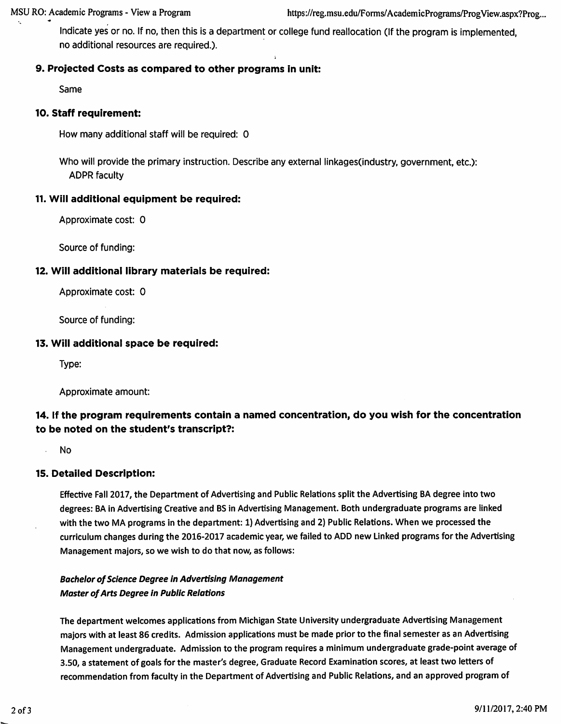Indicate yes or no. If no, then this is a department or college fund reallocation (If the program is implemented, no additional resources are required.).

## 9. Projected Costs as compared to other programs in unit:

Same

## 10. Staff requirement:

How many additional staff will be required: 0

Who will provide the primary instruction. Describe any external linkages (industry, government, etc.): **ADPR faculty** 

## 11. Will additional equipment be required:

Approximate cost: 0

Source of funding:

## 12. Will additional library materials be required:

Approximate cost: 0

Source of funding:

### 13. Will additional space be required:

Type:

Approximate amount:

# 14. If the program requirements contain a named concentration, do you wish for the concentration to be noted on the student's transcript?:

**No** 

## **15. Detailed Description:**

Effective Fall 2017, the Department of Advertising and Public Relations split the Advertising BA degree into two degrees: BA in Advertising Creative and BS in Advertising Management. Both undergraduate programs are linked with the two MA programs in the department: 1) Advertising and 2) Public Relations. When we processed the curriculum changes during the 2016-2017 academic year, we failed to ADD new Linked programs for the Advertising Management majors, so we wish to do that now, as follows:

## **Bachelor of Science Degree in Advertising Management Master of Arts Degree in Public Relations**

The department welcomes applications from Michigan State University undergraduate Advertising Management majors with at least 86 credits. Admission applications must be made prior to the final semester as an Advertising Management undergraduate. Admission to the program requires a minimum undergraduate grade-point average of 3.50, a statement of goals for the master's degree, Graduate Record Examination scores, at least two letters of recommendation from faculty in the Department of Advertising and Public Relations, and an approved program of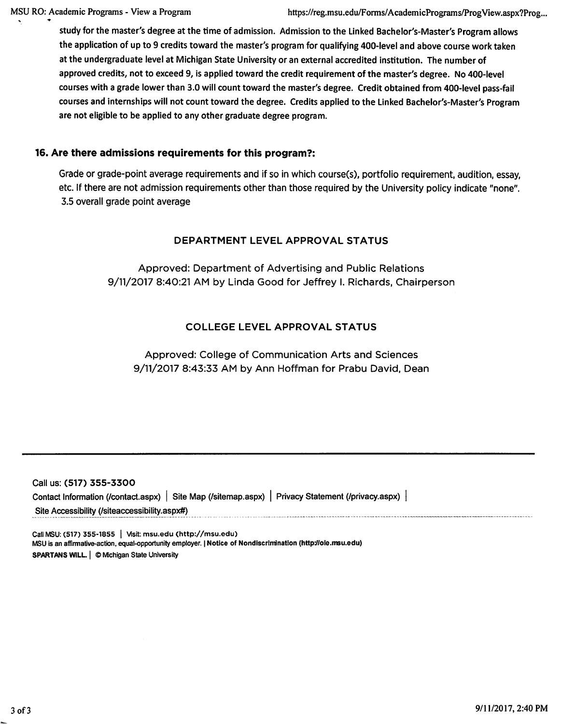study for the master's degree at the time of admission. Admission to the Linked Bachelor's-Master's Program allows the application of up to 9 credits toward the master's program for qualifying 400-level and above course work taken at the undergraduate level at Michigan State University or an external accredited institution. The number of approved credits, not to exceed 9, is applied toward the credit requirement of the master's degree. No 400-level courses with a grade lower than 3.0 will count toward the master's degree. Credit obtained from 400-level pass-fail courses and internships will not count toward the degree. Credits applied to the Linked Bachelor's-Master's Program are not eligible to be applied to any other graduate degree program.

## 16. Are there admissions requirements for this program?:

Grade or grade-point average requirements and if so in which course(s), portfolio requirement, audition, essay, etc. If there are not admission requirements other than those required by the University policy indicate "none". 3.5 overall grade point average

## DEPARTMENT LEVEL APPROVAL STATUS

Approved: Department of Advertising and Public Relations 9/11/2017 8:40:21 AM by Linda Good for Jeffrey I. Richards, Chairperson

## **COLLEGE LEVEL APPROVAL STATUS**

## Approved: College of Communication Arts and Sciences 9/11/2017 8:43:33 AM by Ann Hoffman for Prabu David, Dean

| Call us: (517) 355-3300                       |                                                                                                    |  |
|-----------------------------------------------|----------------------------------------------------------------------------------------------------|--|
|                                               | Contact Information (/contact.aspx)   Site Map (/sitemap.aspx)   Privacy Statement (/privacy.aspx) |  |
| Site Accessibility (/siteaccessibility.aspx#) |                                                                                                    |  |

Call MSU: (517) 355-1855 | Visit: msu.edu (http://msu.edu) MSU is an affirmative-action, equal-opportunity employer. | Notice of Nondiscrimination (http://oie.msu.edu) SPARTANS WILL. | © Michigan State University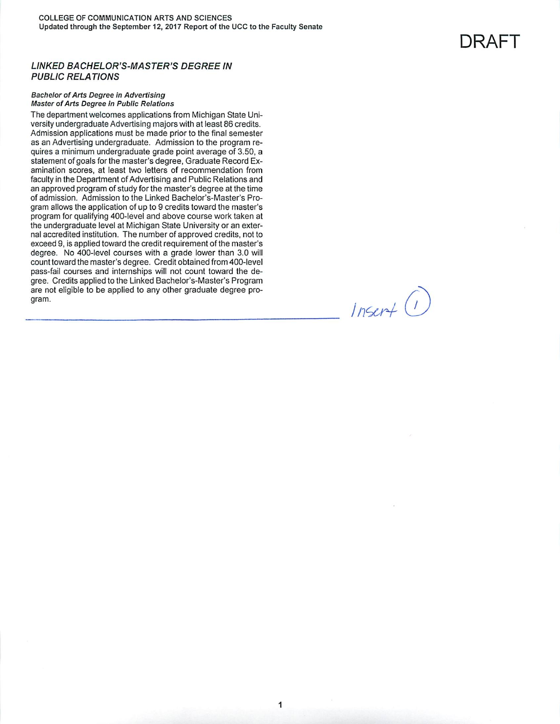#### **LINKED BACHELOR'S-MASTER'S DEGREE IN PUBLIC RELATIONS**

#### **Bachelor of Arts Degree in Advertising Master of Arts Degree in Public Relations**

The department welcomes applications from Michigan State University undergraduate Advertising majors with at least 86 credits. Admission applications must be made prior to the final semester as an Advertising undergraduate. Admission to the program requires a minimum undergraduate grade point average of 3.50, a statement of goals for the master's degree, Graduate Record Examination scores, at least two letters of recommendation from faculty in the Department of Advertising and Public Relations and an approved program of study for the master's degree at the time of admission. Admission to the Linked Bachelor's-Master's Program allows the application of up to 9 credits toward the master's program for qualifying 400-level and above course work taken at the undergraduate level at Michigan State University or an external accredited institution. The number of approved credits, not to exceed 9, is applied toward the credit requirement of the master's degree. No 400-level courses with a grade lower than 3.0 will count toward the master's degree. Credit obtained from 400-level pass-fail courses and internships will not count toward the degree. Credits applied to the Linked Bachelor's-Master's Program are not eligible to be applied to any other graduate degree program.

 $Insert$  (1)

DRAFT